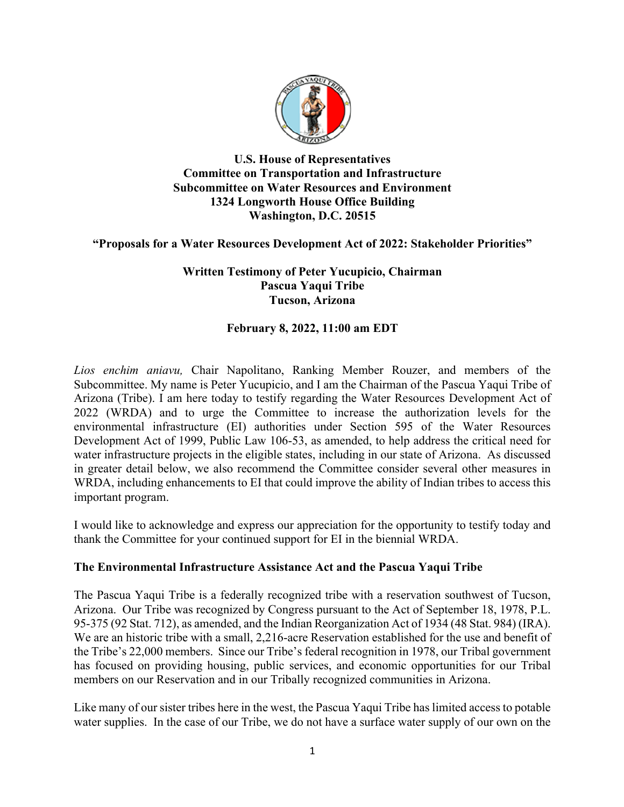

**U.S. House of Representatives Committee on Transportation and Infrastructure Subcommittee on Water Resources and Environment 1324 Longworth House Office Building Washington, D.C. 20515**

# **"Proposals for a Water Resources Development Act of 2022: Stakeholder Priorities"**

### **Written Testimony of Peter Yucupicio, Chairman Pascua Yaqui Tribe Tucson, Arizona**

## **February 8, 2022, 11:00 am EDT**

*Lios enchim aniavu,* Chair Napolitano, Ranking Member Rouzer, and members of the Subcommittee. My name is Peter Yucupicio, and I am the Chairman of the Pascua Yaqui Tribe of Arizona (Tribe). I am here today to testify regarding the Water Resources Development Act of 2022 (WRDA) and to urge the Committee to increase the authorization levels for the environmental infrastructure (EI) authorities under Section 595 of the Water Resources Development Act of 1999, Public Law 106-53, as amended, to help address the critical need for water infrastructure projects in the eligible states, including in our state of Arizona. As discussed in greater detail below, we also recommend the Committee consider several other measures in WRDA, including enhancements to EI that could improve the ability of Indian tribes to access this important program.

I would like to acknowledge and express our appreciation for the opportunity to testify today and thank the Committee for your continued support for EI in the biennial WRDA.

#### **The Environmental Infrastructure Assistance Act and the Pascua Yaqui Tribe**

The Pascua Yaqui Tribe is a federally recognized tribe with a reservation southwest of Tucson, Arizona. Our Tribe was recognized by Congress pursuant to the Act of September 18, 1978, P.L. 95-375 (92 Stat. 712), as amended, and the Indian Reorganization Act of 1934 (48 Stat. 984) (IRA). We are an historic tribe with a small, 2,216-acre Reservation established for the use and benefit of the Tribe's 22,000 members. Since our Tribe's federal recognition in 1978, our Tribal government has focused on providing housing, public services, and economic opportunities for our Tribal members on our Reservation and in our Tribally recognized communities in Arizona.

Like many of our sister tribes here in the west, the Pascua Yaqui Tribe has limited access to potable water supplies. In the case of our Tribe, we do not have a surface water supply of our own on the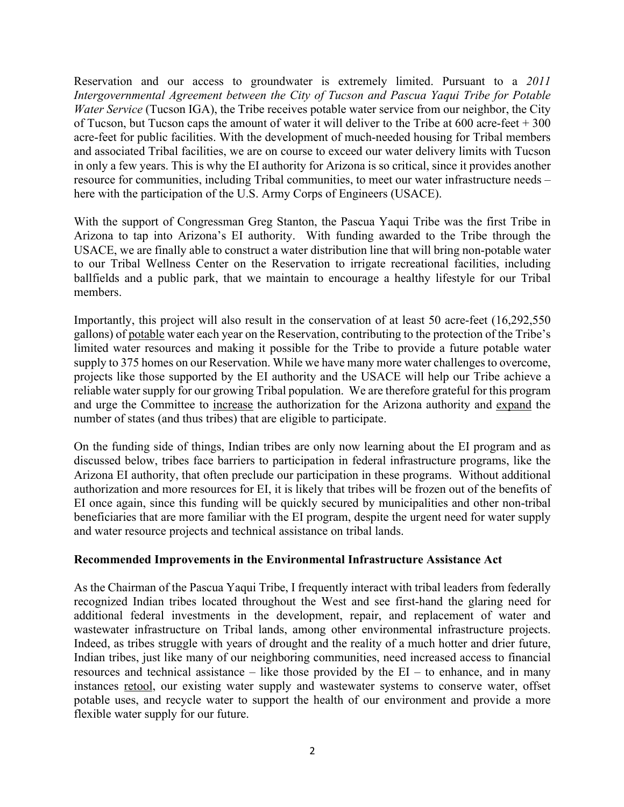Reservation and our access to groundwater is extremely limited. Pursuant to a *2011 Intergovernmental Agreement between the City of Tucson and Pascua Yaqui Tribe for Potable Water Service* (Tucson IGA), the Tribe receives potable water service from our neighbor, the City of Tucson, but Tucson caps the amount of water it will deliver to the Tribe at  $600$  acre-feet  $+300$ acre-feet for public facilities. With the development of much-needed housing for Tribal members and associated Tribal facilities, we are on course to exceed our water delivery limits with Tucson in only a few years. This is why the EI authority for Arizona is so critical, since it provides another resource for communities, including Tribal communities, to meet our water infrastructure needs – here with the participation of the U.S. Army Corps of Engineers (USACE).

With the support of Congressman Greg Stanton, the Pascua Yaqui Tribe was the first Tribe in Arizona to tap into Arizona's EI authority. With funding awarded to the Tribe through the USACE, we are finally able to construct a water distribution line that will bring non-potable water to our Tribal Wellness Center on the Reservation to irrigate recreational facilities, including ballfields and a public park, that we maintain to encourage a healthy lifestyle for our Tribal members.

Importantly, this project will also result in the conservation of at least 50 acre-feet (16,292,550 gallons) of potable water each year on the Reservation, contributing to the protection of the Tribe's limited water resources and making it possible for the Tribe to provide a future potable water supply to 375 homes on our Reservation. While we have many more water challenges to overcome, projects like those supported by the EI authority and the USACE will help our Tribe achieve a reliable water supply for our growing Tribal population. We are therefore grateful for this program and urge the Committee to increase the authorization for the Arizona authority and expand the number of states (and thus tribes) that are eligible to participate.

On the funding side of things, Indian tribes are only now learning about the EI program and as discussed below, tribes face barriers to participation in federal infrastructure programs, like the Arizona EI authority, that often preclude our participation in these programs. Without additional authorization and more resources for EI, it is likely that tribes will be frozen out of the benefits of EI once again, since this funding will be quickly secured by municipalities and other non-tribal beneficiaries that are more familiar with the EI program, despite the urgent need for water supply and water resource projects and technical assistance on tribal lands.

#### **Recommended Improvements in the Environmental Infrastructure Assistance Act**

As the Chairman of the Pascua Yaqui Tribe, I frequently interact with tribal leaders from federally recognized Indian tribes located throughout the West and see first-hand the glaring need for additional federal investments in the development, repair, and replacement of water and wastewater infrastructure on Tribal lands, among other environmental infrastructure projects. Indeed, as tribes struggle with years of drought and the reality of a much hotter and drier future, Indian tribes, just like many of our neighboring communities, need increased access to financial resources and technical assistance – like those provided by the  $EI -$  to enhance, and in many instances retool, our existing water supply and wastewater systems to conserve water, offset potable uses, and recycle water to support the health of our environment and provide a more flexible water supply for our future.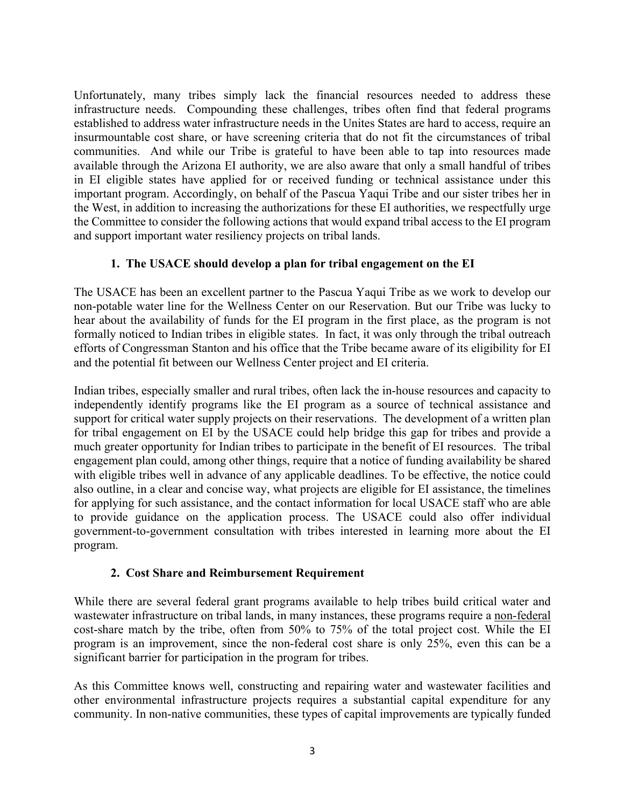Unfortunately, many tribes simply lack the financial resources needed to address these infrastructure needs. Compounding these challenges, tribes often find that federal programs established to address water infrastructure needs in the Unites States are hard to access, require an insurmountable cost share, or have screening criteria that do not fit the circumstances of tribal communities. And while our Tribe is grateful to have been able to tap into resources made available through the Arizona EI authority, we are also aware that only a small handful of tribes in EI eligible states have applied for or received funding or technical assistance under this important program. Accordingly, on behalf of the Pascua Yaqui Tribe and our sister tribes her in the West, in addition to increasing the authorizations for these EI authorities, we respectfully urge the Committee to consider the following actions that would expand tribal access to the EI program and support important water resiliency projects on tribal lands.

# **1. The USACE should develop a plan for tribal engagement on the EI**

The USACE has been an excellent partner to the Pascua Yaqui Tribe as we work to develop our non-potable water line for the Wellness Center on our Reservation. But our Tribe was lucky to hear about the availability of funds for the EI program in the first place, as the program is not formally noticed to Indian tribes in eligible states. In fact, it was only through the tribal outreach efforts of Congressman Stanton and his office that the Tribe became aware of its eligibility for EI and the potential fit between our Wellness Center project and EI criteria.

Indian tribes, especially smaller and rural tribes, often lack the in-house resources and capacity to independently identify programs like the EI program as a source of technical assistance and support for critical water supply projects on their reservations. The development of a written plan for tribal engagement on EI by the USACE could help bridge this gap for tribes and provide a much greater opportunity for Indian tribes to participate in the benefit of EI resources. The tribal engagement plan could, among other things, require that a notice of funding availability be shared with eligible tribes well in advance of any applicable deadlines. To be effective, the notice could also outline, in a clear and concise way, what projects are eligible for EI assistance, the timelines for applying for such assistance, and the contact information for local USACE staff who are able to provide guidance on the application process. The USACE could also offer individual government-to-government consultation with tribes interested in learning more about the EI program.

## **2. Cost Share and Reimbursement Requirement**

While there are several federal grant programs available to help tribes build critical water and wastewater infrastructure on tribal lands, in many instances, these programs require a non-federal cost-share match by the tribe, often from 50% to 75% of the total project cost. While the EI program is an improvement, since the non-federal cost share is only 25%, even this can be a significant barrier for participation in the program for tribes.

As this Committee knows well, constructing and repairing water and wastewater facilities and other environmental infrastructure projects requires a substantial capital expenditure for any community. In non-native communities, these types of capital improvements are typically funded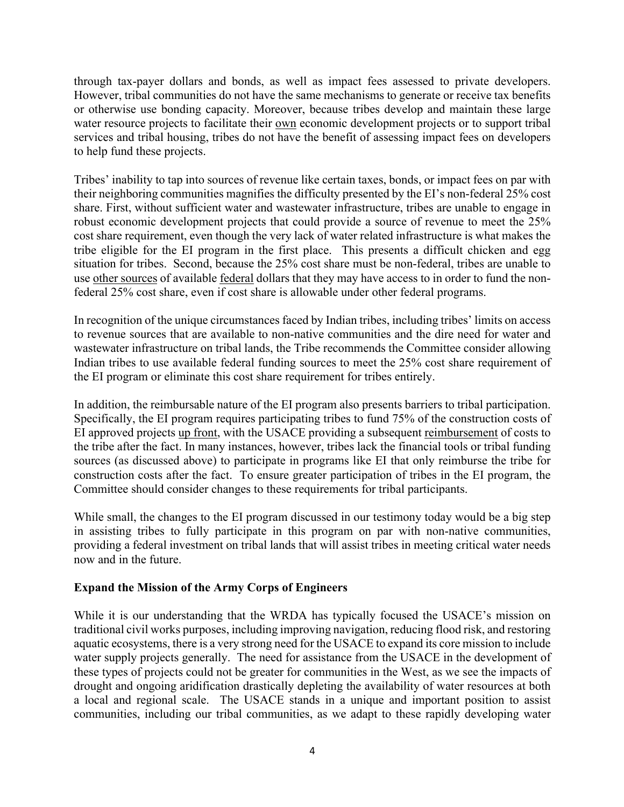through tax-payer dollars and bonds, as well as impact fees assessed to private developers. However, tribal communities do not have the same mechanisms to generate or receive tax benefits or otherwise use bonding capacity. Moreover, because tribes develop and maintain these large water resource projects to facilitate their own economic development projects or to support tribal services and tribal housing, tribes do not have the benefit of assessing impact fees on developers to help fund these projects.

Tribes' inability to tap into sources of revenue like certain taxes, bonds, or impact fees on par with their neighboring communities magnifies the difficulty presented by the EI's non-federal 25% cost share. First, without sufficient water and wastewater infrastructure, tribes are unable to engage in robust economic development projects that could provide a source of revenue to meet the 25% cost share requirement, even though the very lack of water related infrastructure is what makes the tribe eligible for the EI program in the first place. This presents a difficult chicken and egg situation for tribes. Second, because the 25% cost share must be non-federal, tribes are unable to use other sources of available federal dollars that they may have access to in order to fund the nonfederal 25% cost share, even if cost share is allowable under other federal programs.

In recognition of the unique circumstances faced by Indian tribes, including tribes' limits on access to revenue sources that are available to non-native communities and the dire need for water and wastewater infrastructure on tribal lands, the Tribe recommends the Committee consider allowing Indian tribes to use available federal funding sources to meet the 25% cost share requirement of the EI program or eliminate this cost share requirement for tribes entirely.

In addition, the reimbursable nature of the EI program also presents barriers to tribal participation. Specifically, the EI program requires participating tribes to fund 75% of the construction costs of EI approved projects up front, with the USACE providing a subsequent reimbursement of costs to the tribe after the fact. In many instances, however, tribes lack the financial tools or tribal funding sources (as discussed above) to participate in programs like EI that only reimburse the tribe for construction costs after the fact. To ensure greater participation of tribes in the EI program, the Committee should consider changes to these requirements for tribal participants.

While small, the changes to the EI program discussed in our testimony today would be a big step in assisting tribes to fully participate in this program on par with non-native communities, providing a federal investment on tribal lands that will assist tribes in meeting critical water needs now and in the future.

## **Expand the Mission of the Army Corps of Engineers**

While it is our understanding that the WRDA has typically focused the USACE's mission on traditional civil works purposes, including improving navigation, reducing flood risk, and restoring aquatic ecosystems, there is a very strong need for the USACE to expand its core mission to include water supply projects generally. The need for assistance from the USACE in the development of these types of projects could not be greater for communities in the West, as we see the impacts of drought and ongoing aridification drastically depleting the availability of water resources at both a local and regional scale. The USACE stands in a unique and important position to assist communities, including our tribal communities, as we adapt to these rapidly developing water